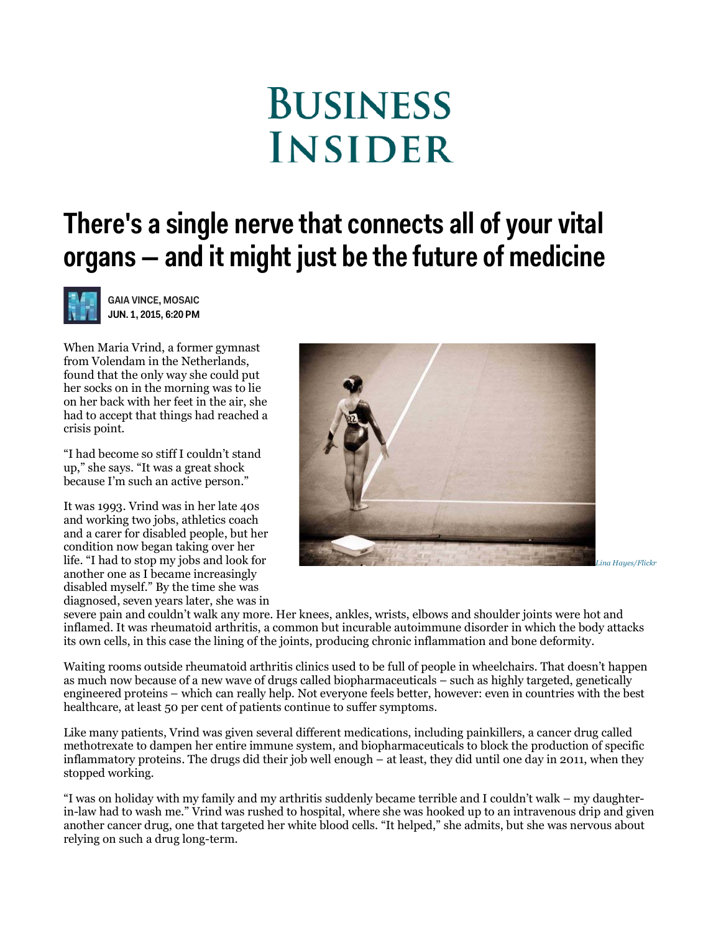# **BUSINESS INSIDER**

# There's a single nerve that connects all of your vital organs — and it might just be the future of medicine



GAIA VINCE, MOSAIC JUN. 1, 2015, 6:20 PM

When Maria Vrind, a former gymnast from Volendam in the Netherlands, found that the only way she could put her socks on in the morning was to lie on her back with her feet in the air, she had to accept that things had reached a crisis point.

"I had become so stiff I couldn't stand up," she says. "It was a great shock because I'm such an active person."

It was 1993. Vrind was in her late 40s and working two jobs, athletics coach and a carer for disabled people, but her condition now began taking over her life. "I had to stop my jobs and look for another one as I became increasingly disabled myself." By the time she was diagnosed, seven years later, she was in



*Lina Hayes/Flickr*

severe pain and couldn't walk any more. Her knees, ankles, wrists, elbows and shoulder joints were hot and inflamed. It was rheumatoid arthritis, a common but incurable autoimmune disorder in which the body attacks its own cells, in this case the lining of the joints, producing chronic inflammation and bone deformity.

Waiting rooms outside rheumatoid arthritis clinics used to be full of people in wheelchairs. That doesn't happen as much now because of a new wave of drugs called biopharmaceuticals – such as highly targeted, genetically engineered proteins – which can really help. Not everyone feels better, however: even in countries with the best healthcare, at least 50 per cent of patients continue to suffer symptoms.

Like many patients, Vrind was given several different medications, including painkillers, a cancer drug called methotrexate to dampen her entire immune system, and biopharmaceuticals to block the production of specific inflammatory proteins. The drugs did their job well enough – at least, they did until one day in 2011, when they stopped working.

"I was on holiday with my family and my arthritis suddenly became terrible and I couldn't walk – my daughterin-law had to wash me." Vrind was rushed to hospital, where she was hooked up to an intravenous drip and given another cancer drug, one that targeted her white blood cells. "It helped," she admits, but she was nervous about relying on such a drug long-term.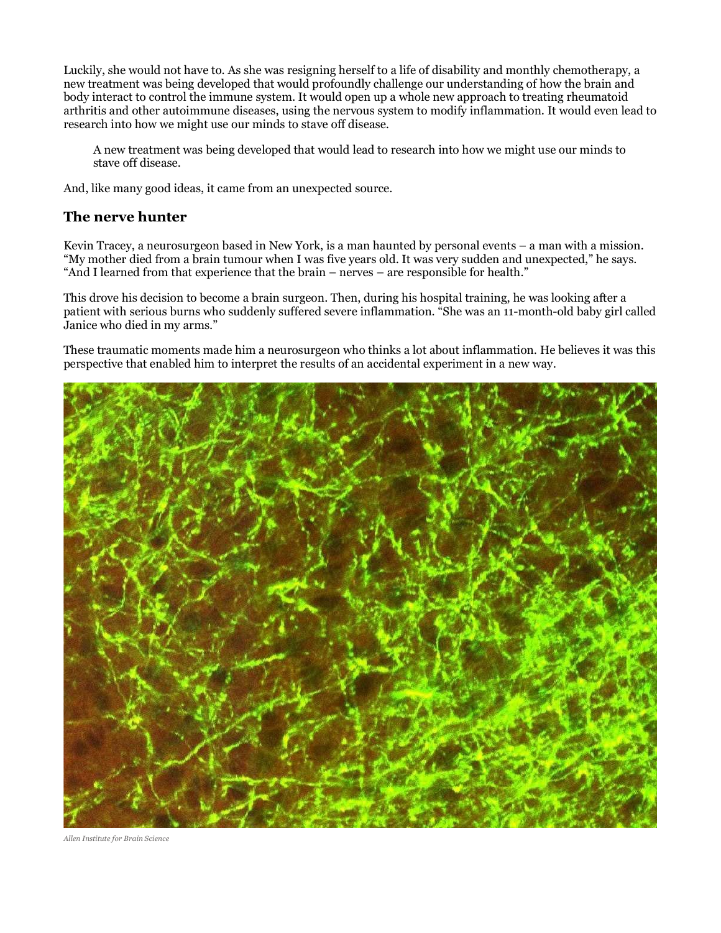Luckily, she would not have to. As she was resigning herself to a life of disability and monthly chemotherapy, a new treatment was being developed that would profoundly challenge our understanding of how the brain and body interact to control the immune system. It would open up a whole new approach to treating rheumatoid arthritis and other autoimmune diseases, using the nervous system to modify inflammation. It would even lead to research into how we might use our minds to stave off disease.

A new treatment was being developed that would lead to research into how we might use our minds to stave off disease.

And, like many good ideas, it came from an unexpected source.

#### **The nerve hunter**

Kevin Tracey, a neurosurgeon based in New York, is a man haunted by personal events – a man with a mission. "My mother died from a brain tumour when I was five years old. It was very sudden and unexpected," he says. "And I learned from that experience that the brain – nerves – are responsible for health."

This drove his decision to become a brain surgeon. Then, during his hospital training, he was looking after a patient with serious burns who suddenly suffered severe inflammation. "She was an 11-month-old baby girl called Janice who died in my arms."

These traumatic moments made him a neurosurgeon who thinks a lot about inflammation. He believes it was this perspective that enabled him to interpret the results of an accidental experiment in a new way.



*Allen Institute for Brain Science*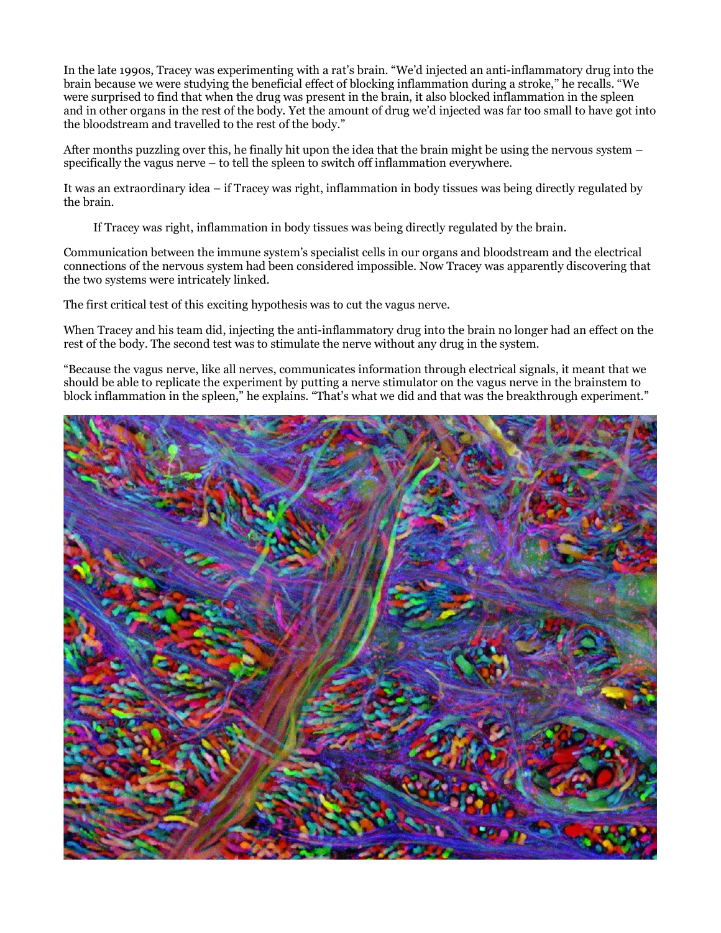In the late 1990s, Tracey was experimenting with a rat's brain. "We'd injected an anti-inflammatory drug into the brain because we were studying the beneficial effect of blocking inflammation during a stroke," he recalls. "We were surprised to find that when the drug was present in the brain, it also blocked inflammation in the spleen and in other organs in the rest of the body. Yet the amount of drug we'd injected was far too small to have got into the bloodstream and travelled to the rest of the body."

After months puzzling over this, he finally hit upon the idea that the brain might be using the nervous system – specifically the vagus nerve – to tell the spleen to switch off inflammation everywhere.

It was an extraordinary idea – if Tracey was right, inflammation in body tissues was being directly regulated by the brain.

If Tracey was right, inflammation in body tissues was being directly regulated by the brain.

Communication between the immune system's specialist cells in our organs and bloodstream and the electrical connections of the nervous system had been considered impossible. Now Tracey was apparently discovering that the two systems were intricately linked.

The first critical test of this exciting hypothesis was to cut the vagus nerve.

When Tracey and his team did, injecting the anti-inflammatory drug into the brain no longer had an effect on the rest of the body. The second test was to stimulate the nerve without any drug in the system.

"Because the vagus nerve, like all nerves, communicates information through electrical signals, it meant that we should be able to replicate the experiment by putting a nerve stimulator on the vagus nerve in the brainstem to block inflammation in the spleen," he explains. "That's what we did and that was the breakthrough experiment."

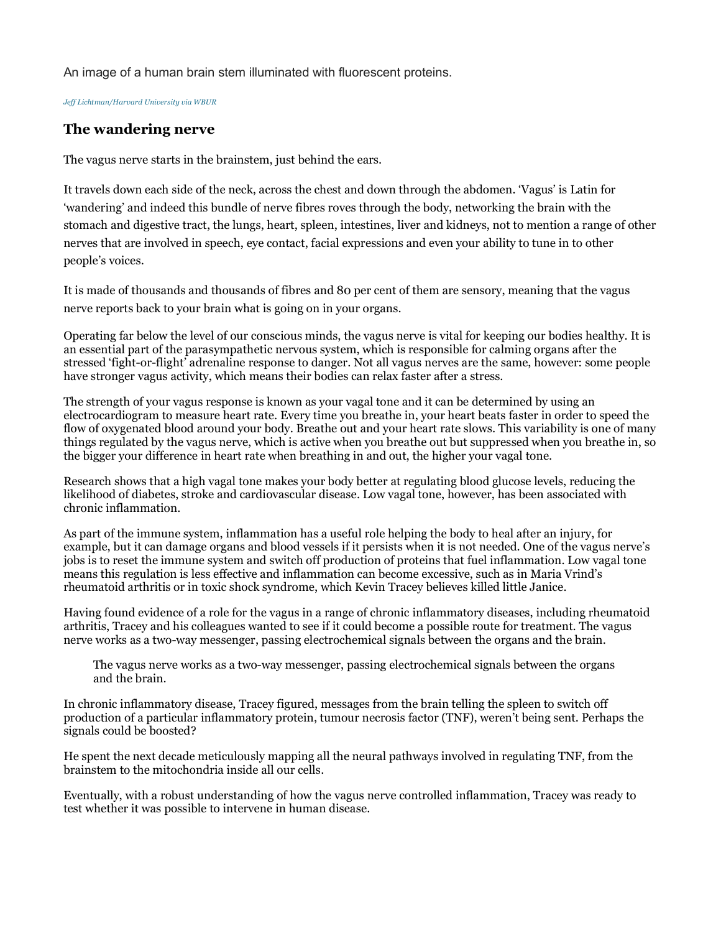An image of a human brain stem illuminated with fluorescent proteins.

*Jeff Lichtman/Harvard University via WBUR*

#### **The wandering nerve**

The vagus nerve starts in the brainstem, just behind the ears.

It travels down each side of the neck, across the chest and down through the abdomen. 'Vagus' is Latin for 'wandering' and indeed this bundle of nerve fibres roves through the body, networking the brain with the stomach and digestive tract, the lungs, heart, spleen, intestines, liver and kidneys, not to mention a range of other nerves that are involved in speech, eye contact, facial expressions and even your ability to tune in to other people's voices.

It is made of thousands and thousands of fibres and 80 per cent of them are sensory, meaning that the vagus nerve reports back to your brain what is going on in your organs.

Operating far below the level of our conscious minds, the vagus nerve is vital for keeping our bodies healthy. It is an essential part of the parasympathetic nervous system, which is responsible for calming organs after the stressed 'fight-or-flight' adrenaline response to danger. Not all vagus nerves are the same, however: some people have stronger vagus activity, which means their bodies can relax faster after a stress.

The strength of your vagus response is known as your vagal tone and it can be determined by using an electrocardiogram to measure heart rate. Every time you breathe in, your heart beats faster in order to speed the flow of oxygenated blood around your body. Breathe out and your heart rate slows. This variability is one of many things regulated by the vagus nerve, which is active when you breathe out but suppressed when you breathe in, so the bigger your difference in heart rate when breathing in and out, the higher your vagal tone.

Research shows that a high vagal tone makes your body better at regulating blood glucose levels, reducing the likelihood of diabetes, stroke and cardiovascular disease. Low vagal tone, however, has been associated with chronic inflammation.

As part of the immune system, inflammation has a useful role helping the body to heal after an injury, for example, but it can damage organs and blood vessels if it persists when it is not needed. One of the vagus nerve's jobs is to reset the immune system and switch off production of proteins that fuel inflammation. Low vagal tone means this regulation is less effective and inflammation can become excessive, such as in Maria Vrind's rheumatoid arthritis or in toxic shock syndrome, which Kevin Tracey believes killed little Janice.

Having found evidence of a role for the vagus in a range of chronic inflammatory diseases, including rheumatoid arthritis, Tracey and his colleagues wanted to see if it could become a possible route for treatment. The vagus nerve works as a two-way messenger, passing electrochemical signals between the organs and the brain.

The vagus nerve works as a two-way messenger, passing electrochemical signals between the organs and the brain.

In chronic inflammatory disease, Tracey figured, messages from the brain telling the spleen to switch off production of a particular inflammatory protein, tumour necrosis factor (TNF), weren't being sent. Perhaps the signals could be boosted?

He spent the next decade meticulously mapping all the neural pathways involved in regulating TNF, from the brainstem to the mitochondria inside all our cells.

Eventually, with a robust understanding of how the vagus nerve controlled inflammation, Tracey was ready to test whether it was possible to intervene in human disease.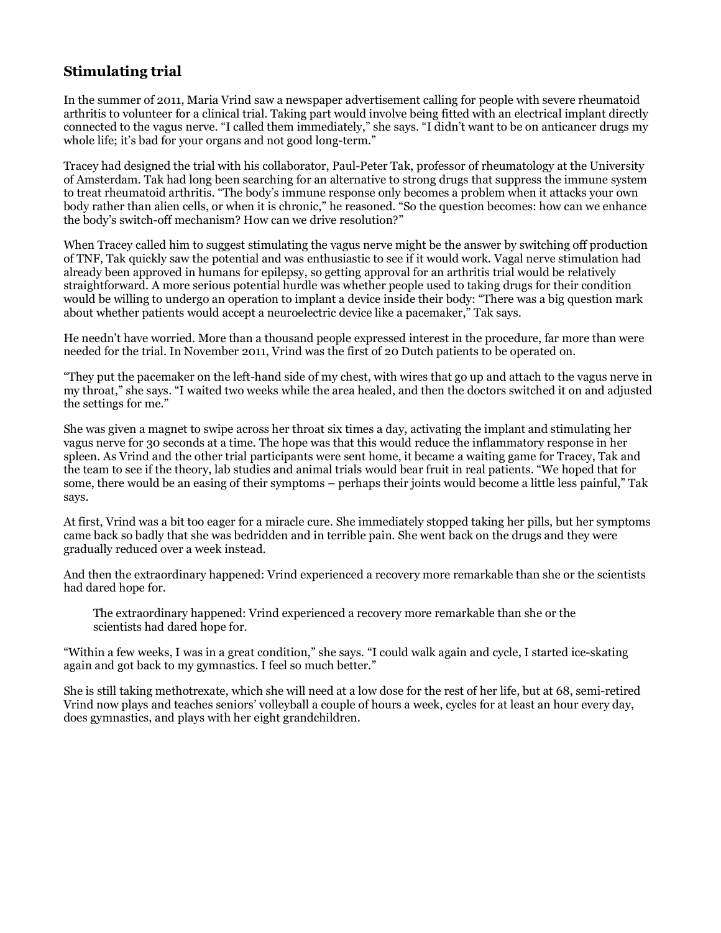## **Stimulating trial**

In the summer of 2011, Maria Vrind saw a newspaper advertisement calling for people with severe rheumatoid arthritis to volunteer for a clinical trial. Taking part would involve being fitted with an electrical implant directly connected to the vagus nerve. "I called them immediately," she says. "I didn't want to be on anticancer drugs my whole life; it's bad for your organs and not good long-term."

Tracey had designed the trial with his collaborator, Paul-Peter Tak, professor of rheumatology at the University of Amsterdam. Tak had long been searching for an alternative to strong drugs that suppress the immune system to treat rheumatoid arthritis. "The body's immune response only becomes a problem when it attacks your own body rather than alien cells, or when it is chronic," he reasoned. "So the question becomes: how can we enhance the body's switch-off mechanism? How can we drive resolution?"

When Tracey called him to suggest stimulating the vagus nerve might be the answer by switching off production of TNF, Tak quickly saw the potential and was enthusiastic to see if it would work. Vagal nerve stimulation had already been approved in humans for epilepsy, so getting approval for an arthritis trial would be relatively straightforward. A more serious potential hurdle was whether people used to taking drugs for their condition would be willing to undergo an operation to implant a device inside their body: "There was a big question mark about whether patients would accept a neuroelectric device like a pacemaker," Tak says.

He needn't have worried. More than a thousand people expressed interest in the procedure, far more than were needed for the trial. In November 2011, Vrind was the first of 20 Dutch patients to be operated on.

"They put the pacemaker on the left-hand side of my chest, with wires that go up and attach to the vagus nerve in my throat," she says. "I waited two weeks while the area healed, and then the doctors switched it on and adjusted the settings for me."

She was given a magnet to swipe across her throat six times a day, activating the implant and stimulating her vagus nerve for 30 seconds at a time. The hope was that this would reduce the inflammatory response in her spleen. As Vrind and the other trial participants were sent home, it became a waiting game for Tracey, Tak and the team to see if the theory, lab studies and animal trials would bear fruit in real patients. "We hoped that for some, there would be an easing of their symptoms – perhaps their joints would become a little less painful," Tak says.

At first, Vrind was a bit too eager for a miracle cure. She immediately stopped taking her pills, but her symptoms came back so badly that she was bedridden and in terrible pain. She went back on the drugs and they were gradually reduced over a week instead.

And then the extraordinary happened: Vrind experienced a recovery more remarkable than she or the scientists had dared hope for.

The extraordinary happened: Vrind experienced a recovery more remarkable than she or the scientists had dared hope for.

"Within a few weeks, I was in a great condition," she says. "I could walk again and cycle, I started ice-skating again and got back to my gymnastics. I feel so much better."

She is still taking methotrexate, which she will need at a low dose for the rest of her life, but at 68, semi-retired Vrind now plays and teaches seniors' volleyball a couple of hours a week, cycles for at least an hour every day, does gymnastics, and plays with her eight grandchildren.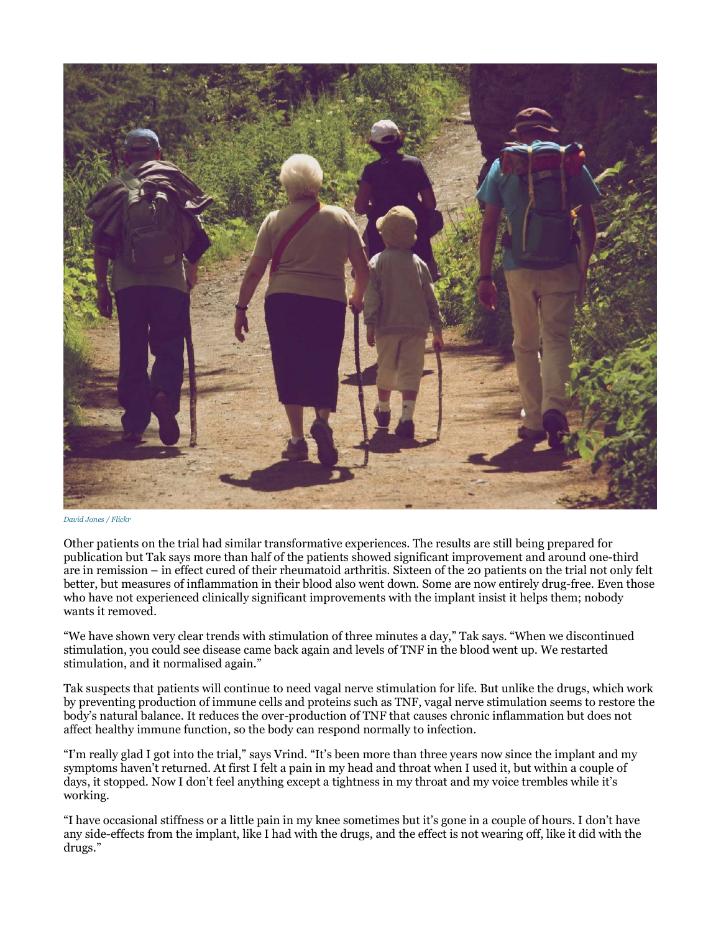

*David Jones / Flickr*

Other patients on the trial had similar transformative experiences. The results are still being prepared for publication but Tak says more than half of the patients showed significant improvement and around one-third are in remission – in effect cured of their rheumatoid arthritis. Sixteen of the 20 patients on the trial not only felt better, but measures of inflammation in their blood also went down. Some are now entirely drug-free. Even those who have not experienced clinically significant improvements with the implant insist it helps them; nobody wants it removed.

"We have shown very clear trends with stimulation of three minutes a day," Tak says. "When we discontinued stimulation, you could see disease came back again and levels of TNF in the blood went up. We restarted stimulation, and it normalised again."

Tak suspects that patients will continue to need vagal nerve stimulation for life. But unlike the drugs, which work by preventing production of immune cells and proteins such as TNF, vagal nerve stimulation seems to restore the body's natural balance. It reduces the over-production of TNF that causes chronic inflammation but does not affect healthy immune function, so the body can respond normally to infection.

"I'm really glad I got into the trial," says Vrind. "It's been more than three years now since the implant and my symptoms haven't returned. At first I felt a pain in my head and throat when I used it, but within a couple of days, it stopped. Now I don't feel anything except a tightness in my throat and my voice trembles while it's working.

"I have occasional stiffness or a little pain in my knee sometimes but it's gone in a couple of hours. I don't have any side-effects from the implant, like I had with the drugs, and the effect is not wearing off, like it did with the drugs."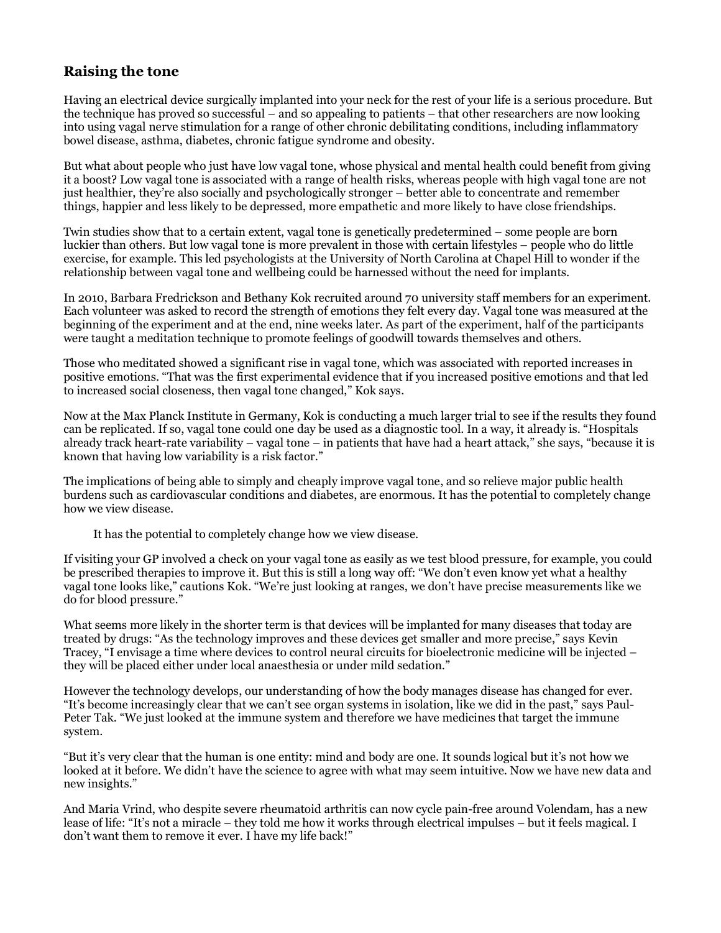### **Raising the tone**

Having an electrical device surgically implanted into your neck for the rest of your life is a serious procedure. But the technique has proved so successful – and so appealing to patients – that other researchers are now looking into using vagal nerve stimulation for a range of other chronic debilitating conditions, including inflammatory bowel disease, asthma, diabetes, chronic fatigue syndrome and obesity.

But what about people who just have low vagal tone, whose physical and mental health could benefit from giving it a boost? Low vagal tone is associated with a range of health risks, whereas people with high vagal tone are not just healthier, they're also socially and psychologically stronger – better able to concentrate and remember things, happier and less likely to be depressed, more empathetic and more likely to have close friendships.

Twin studies show that to a certain extent, vagal tone is genetically predetermined – some people are born luckier than others. But low vagal tone is more prevalent in those with certain lifestyles – people who do little exercise, for example. This led psychologists at the University of North Carolina at Chapel Hill to wonder if the relationship between vagal tone and wellbeing could be harnessed without the need for implants.

In 2010, Barbara Fredrickson and Bethany Kok recruited around 70 university staff members for an experiment. Each volunteer was asked to record the strength of emotions they felt every day. Vagal tone was measured at the beginning of the experiment and at the end, nine weeks later. As part of the experiment, half of the participants were taught a meditation technique to promote feelings of goodwill towards themselves and others.

Those who meditated showed a significant rise in vagal tone, which was associated with reported increases in positive emotions. "That was the first experimental evidence that if you increased positive emotions and that led to increased social closeness, then vagal tone changed," Kok says.

Now at the Max Planck Institute in Germany, Kok is conducting a much larger trial to see if the results they found can be replicated. If so, vagal tone could one day be used as a diagnostic tool. In a way, it already is. "Hospitals already track heart-rate variability – vagal tone – in patients that have had a heart attack," she says, "because it is known that having low variability is a risk factor."

The implications of being able to simply and cheaply improve vagal tone, and so relieve major public health burdens such as cardiovascular conditions and diabetes, are enormous. It has the potential to completely change how we view disease.

It has the potential to completely change how we view disease.

If visiting your GP involved a check on your vagal tone as easily as we test blood pressure, for example, you could be prescribed therapies to improve it. But this is still a long way off: "We don't even know yet what a healthy vagal tone looks like," cautions Kok. "We're just looking at ranges, we don't have precise measurements like we do for blood pressure."

What seems more likely in the shorter term is that devices will be implanted for many diseases that today are treated by drugs: "As the technology improves and these devices get smaller and more precise," says Kevin Tracey, "I envisage a time where devices to control neural circuits for bioelectronic medicine will be injected – they will be placed either under local anaesthesia or under mild sedation."

However the technology develops, our understanding of how the body manages disease has changed for ever. "It's become increasingly clear that we can't see organ systems in isolation, like we did in the past," says Paul-Peter Tak. "We just looked at the immune system and therefore we have medicines that target the immune system.

"But it's very clear that the human is one entity: mind and body are one. It sounds logical but it's not how we looked at it before. We didn't have the science to agree with what may seem intuitive. Now we have new data and new insights."

And Maria Vrind, who despite severe rheumatoid arthritis can now cycle pain-free around Volendam, has a new lease of life: "It's not a miracle – they told me how it works through electrical impulses – but it feels magical. I don't want them to remove it ever. I have my life back!"